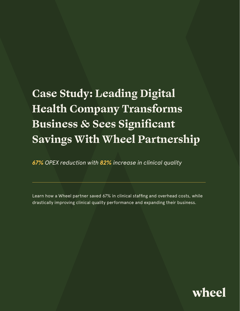# **Case Study: Leading Digital Health Company Transforms Business & Sees Significant Savings With Wheel Partnership**

*67% OPEX reduction with 82% increase in clinical quality*

Learn how a Wheel partner saved 67% in clinical staffing and overhead costs, while drastically improving clinical quality performance and expanding their business.

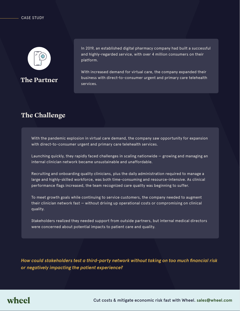

**The Partner**

In 2019, an established digital pharmacy company had built a successful and highly-regarded service, with over 4 million consumers on their platform.

With increased demand for virtual care, the company expanded their business with direct-to-consumer urgent and primary care telehealth services.

### **The Challenge**

With the pandemic explosion in virtual care demand, the company saw opportunity for expansion with direct-to-consumer urgent and primary care telehealth services.

Launching quickly, they rapidly faced challenges in scaling nationwide — growing and managing an internal clinician network became unsustainable and unaffordable.

Recruiting and onboarding quality clinicians, plus the daily administration required to manage a large and highly-skilled workforce, was both time-consuming and resource-intensive. As clinical performance flags increased, the team recognized care quality was beginning to suffer.

To meet growth goals while continuing to service customers, the company needed to augment their clinician network fast — without driving up operational costs or compromising on clinical quality.

Stakeholders realized they needed support from outside partners, but internal medical directors were concerned about potential impacts to patient care and quality.

*How could stakeholders test a third-party network without taking on too much financial risk or negatively impacting the patient experience?*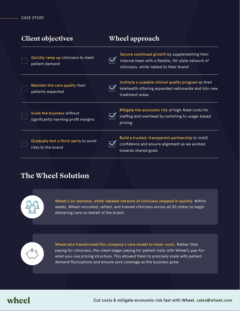| Client objectives |                                                                    | Wheel approach                                                                                                                                  |  |
|-------------------|--------------------------------------------------------------------|-------------------------------------------------------------------------------------------------------------------------------------------------|--|
|                   | Quickly ramp up clinicians to meet<br>patient demand               | Secure continued growth by supplementing their<br>internal team with a flexible, 50-state network of<br>clinicians, white-labled to their brand |  |
|                   | Maintain the care quality their<br>patients expected               | Institute a scalable clinical quality program as their<br>telehealth offering expanded nationwide and into new<br>treatment areas               |  |
|                   | Scale the business without<br>significantly harming profit margins | Mitigate the economic risk of high-fixed costs for<br>staffing and overhead by switching to usage-based<br>pricing                              |  |
|                   | Gradually test a third-party to avoid<br>risks to the brand        | Build a trusted, transparent partnership to instill<br>confidence and ensure alignment as we worked<br>towards shared goals                     |  |

### **The Wheel Solution**



Wheel's on-demand, white-labeled network of clinicians stepped in quickly. Within weeks, Wheel recruited, vetted, and trained clinicians across all 50 states to begin delivering care on behalf of the brand.



Wheel also transformed this company's care model to lower costs. Rather than paying for clinicians, the client began paying for patient visits with Wheel's pay-forwhat-you-use pricing structure. This allowed them to precisely scale with patient demand fluctuations and ensure care coverage as the business grew.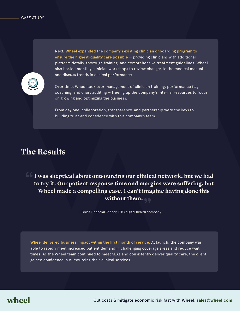

Next, Wheel expanded the company's existing clinician onboarding program to ensure the highest-quality care possible — providing clinicians with additional platform details, thorough training, and comprehensive treatment guidelines. Wheel also hosted monthly clinician workshops to review changes to the medical manual and discuss trends in clinical performance.

Over time, Wheel took over management of clinician training, performance flag coaching, and chart auditing — freeing up the company's internal resources to focus on growing and optimizing the business.

From day one, collaboration, transparency, and partnership were the keys to building trust and confidence with this company's team.

### **The Results**

**I was skeptical about outsourcing our clinical network, but we had to try it. Our patient response time and margins were suffering, but Wheel made a compelling case. I can't imagine having done this without them.**

- Chief Financial Officer, DTC digital health company

Wheel delivered business impact within the first month of service. At launch, the company was able to rapidly meet increased patient demand in challenging coverage areas and reduce wait times. As the Wheel team continued to meet SLAs and consistently deliver quality care, the client gained confidence in outsourcing their clinical services.

# wheel

Cut costs & mitigate economic risk fast with Wheel. **sales@wheel.com**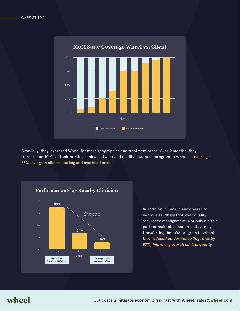

Gradually, they leveraged Wheel for more geographies and treatment areas. Over 9 months, they transitioned 100% of their existing clinical network and quality assurance program to Wheel — realizing a 67% savings in clinical staffing and overhead costs.



In addition, clinical quality began to improve as Wheel took over quality assurance management. Not only did this partner maintain standards of care by transferring their QA program to Wheel, *they reduced performance flag rates by 82%, improving overall clinical quality*.

### wheel

Cut costs & mitigate economic risk fast with Wheel. **sales@wheel.com**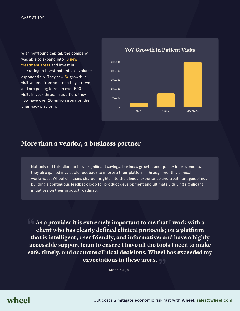With newfound capital, the company was able to expand into 10 new treatment areas and invest in marketing to boost patient visit volume exponentially. They saw 5x growth in visit volume from year one to year two, and are pacing to reach over 500K visits in year three. In addition, they now have over 20 million users on their pharmacy platform.



#### **YoY Growth in Patient Visits**

#### **More than a vendor, a business partner**

Not only did this client achieve significant savings, business growth, and quality improvements, they also gained invaluable feedback to improve their platform. Through monthly clinical workshops, Wheel clinicians shared insights into the clinical experience and treatment guidelines, building a continuous feedback loop for product development and ultimately driving significant initiatives on their product roadmap.

**As a provider it is extremely important to me that I work with a client who has clearly defined clinical protocols; on a platform that is intelligent, user friendly, and informative; and have a highly accessible support team to ensure I have all the tools I need to make safe, timely, and accurate clinical decisions. Wheel has exceeded my expectations in these areas.**

- Michele J., N.P.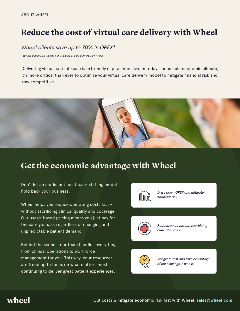# **Reduce the cost of virtual care delivery with Wheel**

#### *Wheel clients save up to 70% in OPEX\**

*\*Savings depend on the ratio and volume of care delivered by Wheel.*

Delivering virtual care at scale is extremely capital intensive. In today's uncertain economic climate, it's more critical than ever to optimize your virtual care delivery model to mitigate financial risk and stay competitive.



# **Get the economic advantage with Wheel**

Don't let an inefficient healthcare staffing model hold back your business.

Wheel helps you reduce operating costs fast – without sacrificing clinical quality and coverage. Our usage-based pricing means you just pay for the care you use, regardless of changing and unpredictable patient demand.

Behind the scenes, our team handles everything from clinical operations to workforce management for you. This way, your resources are freed up to focus on what matters most: continuing to deliver great patient experiences.



*Drive down OPEX and mitigate financial risk*



*Reduce costs without sacrificing clinical quality*



*Integrate fast and take advantage of cost savings in weeks*